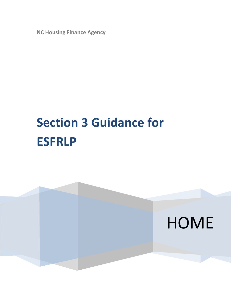**NC Housing Finance Agency**

# **Section 3 Guidance for ESFRLP**

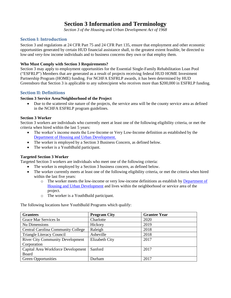# **Section 3 Information and Terminology**

*Section 3 of the Housing and Urban Development Act of 1968*

# **Section I: Introduction**

Section 3 and regulations at 24 CFR Part 75 and 24 CFR Part 135, ensure that employment and other economic opportunities generated by certain HUD financial assistance shall, to the greatest extent feasible, be directed to low-and very-low income individuals and to business concerns they own or that employ them.

#### **Who Must Comply with Section 3 Requirements?**

Section 3 may apply to employment opportunities for the Essential Single-Family Rehabilitation Loan Pool ("ESFRLP") Members that are generated as a result of projects receiving federal HUD HOME Investment Partnership Program (HOME) funding. For NCHFA ESFRLP awards, it has been determined by HUD Greensboro that Section 3 is applicable to any subrecipient who receives more than \$200,000 in ESFRLP funding.

## **Section II: Definitions**

#### **Section 3 Service Area/Neighborhood of the Project**

• Due to the scattered site nature of the projects, the service area will be the county service area as defined in the NCHFA ESFRLP program guidelines.

#### **Section 3 Worker**

Section 3 workers are individuals who currently meet at least one of the following eligibility criteria, or met the criteria when hired within the last 5 years:

- The worker's income meets the Low-Income or Very Low-Income definition as established by the Department of Housing and Urban Development.
- The worker is employed by a Section 3 Business Concern, as defined below.
- The worker is a YouthBuild participant.

## **Targeted Section 3 Worker**

Targeted Section 3 workers are individuals who meet one of the following criteria:

- The worker is employed by a Section 3 business concern, as defined below.
- The worker currently meets at least one of the following eligibility criteria, or met the criteria when hired within the last five years:
	- o The worker meets the low-income or very low-income definitions as establish by Department of Housing and Urban Development and lives within the neighborhood or service area of the project.
	- o The worker is a YouthBuild participant.

The following locations have YouthBuild Programs which qualify:

| <b>Grantees</b>                           | <b>Program City</b> | <b>Grantee Year</b> |
|-------------------------------------------|---------------------|---------------------|
| Grace Mar Services In                     | Charlotte           | 2020                |
| Nu Dimensions                             | Hickory             | 2019                |
| <b>Central Carolina Community College</b> | Raleigh             | 2018                |
| <b>Triangle Literacy Council</b>          | Asheville           | 2018                |
| <b>River City Community Development</b>   | Elizabeth City      | 2017                |
| Corporation                               |                     |                     |
| Capital Area Workforce Development        | Sanford             | 2017                |
| Board                                     |                     |                     |
| <b>Green Opportunities</b>                | Durham              | 2017                |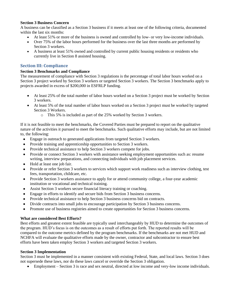#### **Section 3 Business Concern**

A business can be classified as a Section 3 business if it meets at least one of the following criteria, documented within the last six months:

- At least 51% or more of the business is owned and controlled by low- or very low-income individuals.
- Over 75% of the labor hours performed for the business over the last three months are performed by Section 3 workers.
- A business at least 51% owned and controlled by current public housing residents or residents who currently live in Section 8 assisted housing.

## **Section III: Compliance**

#### **Section 3 Benchmarks and Compliance**

The measurement of compliance with Section 3 regulations is the percentage of total labor hours worked on a Section 3 project worked by Section 3 workers or targeted Section 3 workers. The Section 3 benchmarks apply to projects awarded in excess of \$200,000 in ESFRLP funding.

- At least 25% of the total number of labor hours worked on a Section 3 project must be worked by Section 3 workers.
- At least 5% of the total number of labor hours worked on a Section 3 project must be worked by targeted Section 3 Workers.
	- o This 5% is included as part of the 25% worked by Section 3 workers.

If it is not feasible to meet the benchmarks, the Covered Parties must be prepared to report on the qualitative nature of the activities it pursued to meet the benchmarks. Such qualitative efforts may include, but are not limited to, the following:

- Engage in outreach to generated applications from targeted Section 3 workers.
- Provide training and apprenticeship opportunities to Section 3 workers.
- Provide technical assistance to help Section 3 workers compete for jobs.
- Provide or connect Section 3 workers with assistance seeking employment opportunities such as: resume writing, interview preparations, and connecting individuals with job placement services.
- Hold at least one job fair.
- Provide or refer Section 3 workers to services which support work readiness such as interview clothing, test fees, transportation, childcare, etc.
- Provide Section 3 workers assistance to apply for or attend community college, a four-year academic institution or vocational and technical training.
- Assist Section 3 workers secure financial literacy training or coaching.
- Engage in efforts to identify and secure bids from Section 3 business concerns.
- Provide technical assistance to help Section 3 business concerns bid on contracts.
- Divide contracts into small jobs to encourage participation by Section 3 business concerns.
- Promote use of business registries aimed to create opportunities for Section 3 business concerns.

#### **What are considered Best Efforts?**

Best efforts and greatest extent feasible are typically used interchangeably by HUD to determine the outcomes of the program. HUD's focus is on the outcomes as a result of efforts put forth. The reported results will be compared to the outcome metrics defined by the program benchmarks. If the benchmarks are not met HUD and NCHFA will evaluate the qualitative efforts made by the owner, contractor and subcontractor to ensure best efforts have been taken employ Section 3 workers and targeted Section 3 workers.

#### **Section 3 Implementation**

Section 3 must be implemented in a manner consistent with existing Federal, State, and local laws. Section 3 does not supersede these laws, nor do these laws cancel or override the Section 3 obligation.

• Employment – Section 3 is race and sex neutral, directed at low income and very-low income individuals.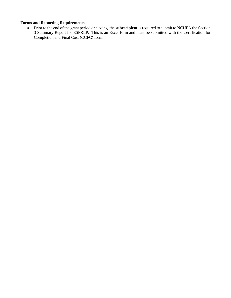# **Forms and Reporting Requirements**

• Prior to the end of the grant period or closing, the **subrecipient** is required to submit to NCHFA the Section 3 Summary Report for ESFRLP. This is an Excel form and must be submitted with the Certification for Completion and Final Cost (CCFC) form.